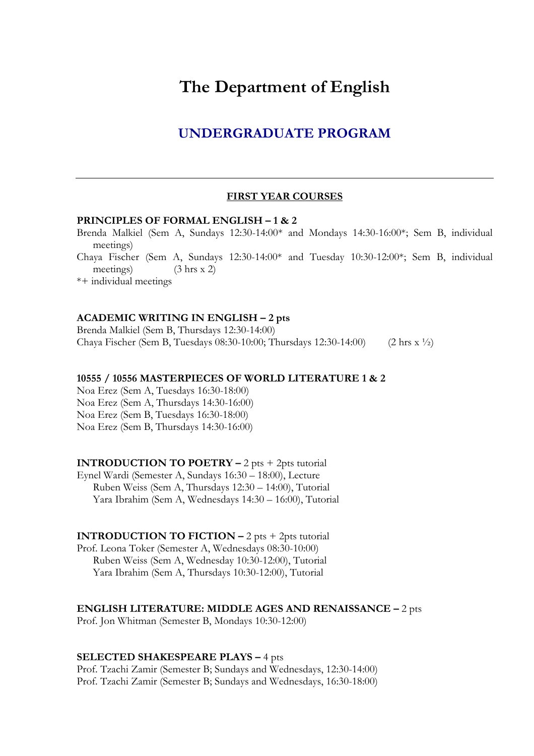# **The Department of English**

# **UNDERGRADUATE PROGRAM**

### **FIRST YEAR COURSES**

### **PRINCIPLES OF FORMAL ENGLISH – 1 & 2**

Brenda Malkiel (Sem A, Sundays 12:30-14:00\* and Mondays 14:30-16:00\*; Sem B, individual meetings) Chaya Fischer (Sem A, Sundays 12:30-14:00\* and Tuesday 10:30-12:00\*; Sem B, individual meetings) (3 hrs x 2) \*+ individual meetings

### **ACADEMIC WRITING IN ENGLISH – 2 pts**

Brenda Malkiel (Sem B, Thursdays 12:30-14:00) Chaya Fischer (Sem B, Tuesdays 08:30-10:00; Thursdays 12:30-14:00) (2 hrs x ½)

### **10555 / 10556 MASTERPIECES OF WORLD LITERATURE 1 & 2**

Noa Erez (Sem A, Tuesdays 16:30-18:00) Noa Erez (Sem A, Thursdays 14:30-16:00) Noa Erez (Sem B, Tuesdays 16:30-18:00) Noa Erez (Sem B, Thursdays 14:30-16:00)

### **INTRODUCTION TO POETRY –** 2 pts + 2pts tutorial

Eynel Wardi (Semester A, Sundays 16:30 – 18:00), Lecture Ruben Weiss (Sem A, Thursdays 12:30 – 14:00), Tutorial Yara Ibrahim (Sem A, Wednesdays 14:30 – 16:00), Tutorial

#### **INTRODUCTION TO FICTION**  $-2$  **pts**  $+2$ **pts tutorial**

Prof. Leona Toker (Semester A, Wednesdays 08:30-10:00) Ruben Weiss (Sem A, Wednesday 10:30-12:00), Tutorial Yara Ibrahim (Sem A, Thursdays 10:30-12:00), Tutorial

#### **ENGLISH LITERATURE: MIDDLE AGES AND RENAISSANCE –** 2 pts

Prof. Jon Whitman (Semester B, Mondays 10:30-12:00)

### **SELECTED SHAKESPEARE PLAYS –** 4 pts

Prof. Tzachi Zamir (Semester B; Sundays and Wednesdays, 12:30-14:00) Prof. Tzachi Zamir (Semester B; Sundays and Wednesdays, 16:30-18:00)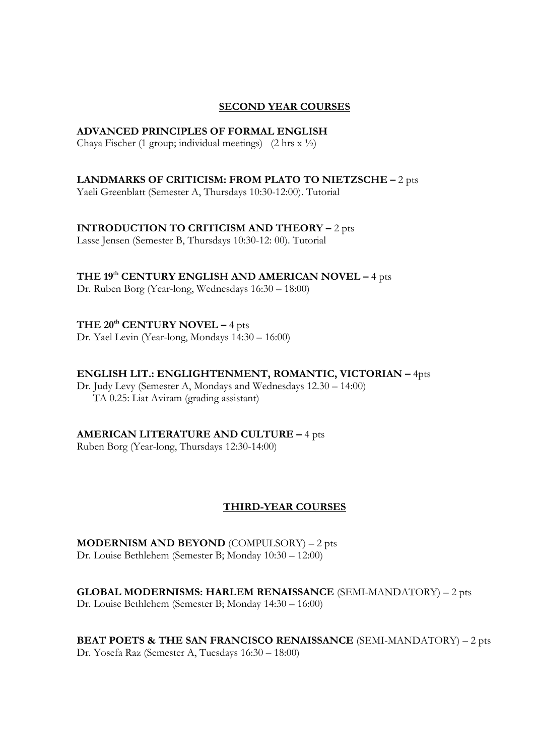### **SECOND YEAR COURSES**

### **ADVANCED PRINCIPLES OF FORMAL ENGLISH**

Chaya Fischer (1 group; individual meetings) (2 hrs  $x \frac{1}{2}$ )

### **LANDMARKS OF CRITICISM: FROM PLATO TO NIETZSCHE –** 2 pts

Yaeli Greenblatt (Semester A, Thursdays 10:30-12:00). Tutorial

### **INTRODUCTION TO CRITICISM AND THEORY –** 2 pts

Lasse Jensen (Semester B, Thursdays 10:30-12: 00). Tutorial

# **THE 19th CENTURY ENGLISH AND AMERICAN NOVEL –** 4 pts

Dr. Ruben Borg (Year-long, Wednesdays 16:30 – 18:00)

# **THE 20th CENTURY NOVEL –** 4 pts

Dr. Yael Levin (Year-long, Mondays 14:30 – 16:00)

### **ENGLISH LIT.: ENGLIGHTENMENT, ROMANTIC, VICTORIAN –** 4pts

Dr. Judy Levy (Semester A, Mondays and Wednesdays 12.30 – 14:00) TA 0.25: Liat Aviram (grading assistant)

### **AMERICAN LITERATURE AND CULTURE –** 4 pts

Ruben Borg (Year-long, Thursdays 12:30-14:00)

### **THIRD-YEAR COURSES**

**MODERNISM AND BEYOND** (COMPULSORY) – 2 pts Dr. Louise Bethlehem (Semester B; Monday 10:30 – 12:00)

**GLOBAL MODERNISMS: HARLEM RENAISSANCE** (SEMI-MANDATORY) – 2 pts Dr. Louise Bethlehem (Semester B; Monday 14:30 – 16:00)

# **BEAT POETS & THE SAN FRANCISCO RENAISSANCE** (SEMI-MANDATORY) – 2 pts

Dr. Yosefa Raz (Semester A, Tuesdays 16:30 – 18:00)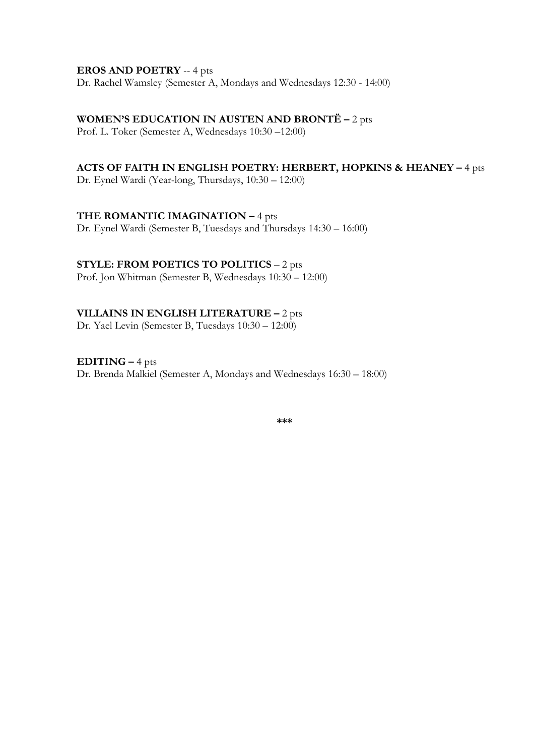### **EROS AND POETRY** -- 4 pts

Dr. Rachel Wamsley (Semester A, Mondays and Wednesdays 12:30 - 14:00)

**WOMEN'S EDUCATION IN AUSTEN AND BRONTË –** 2 pts

Prof. L. Toker (Semester A, Wednesdays 10:30 –12:00)

# **ACTS OF FAITH IN ENGLISH POETRY: HERBERT, HOPKINS & HEANEY –** 4 pts

Dr. Eynel Wardi (Year-long, Thursdays, 10:30 – 12:00)

### **THE ROMANTIC IMAGINATION –** 4 pts

Dr. Eynel Wardi (Semester B, Tuesdays and Thursdays 14:30 – 16:00)

# **STYLE: FROM POETICS TO POLITICS** – 2 pts

Prof. Jon Whitman (Semester B, Wednesdays 10:30 – 12:00)

# **VILLAINS IN ENGLISH LITERATURE –** 2 pts

Dr. Yael Levin (Semester B, Tuesdays 10:30 – 12:00)

# **EDITING –** 4 pts

Dr. Brenda Malkiel (Semester A, Mondays and Wednesdays 16:30 – 18:00)

**\*\*\***